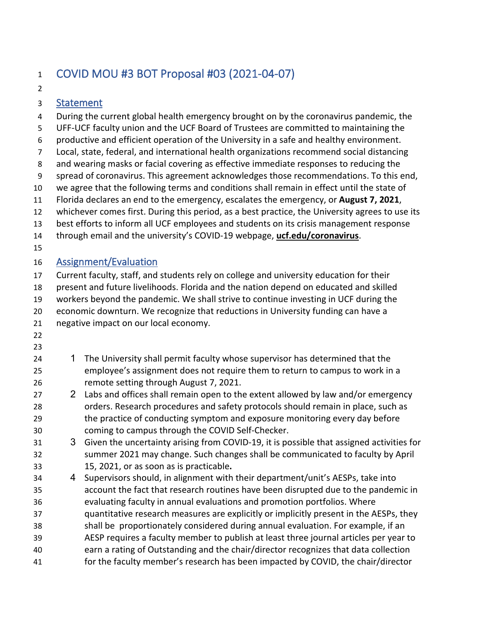## COVID MOU #3 BOT Proposal #03 (2021-04-07)

### Statement

4 During the current global health emergency brought on by the coronavirus pandemic, the 5 UFF-UCF faculty union and the UCF Board of Trustees are committed to maintaining the 6 productive and efficient operation of the University in a safe and healthy environment. 7 Local, state, federal, and international health organizations recommend social distancing 8 and wearing masks or facial covering as effective immediate responses to reducing the 9 spread of coronavirus. This agreement acknowledges those recommendations. To this end, we agree that the following terms and conditions shall remain in effect until the state of Florida declares an end to the emergency, escalates the emergency, or **August 7, 2021**, whichever comes first. During this period, as a best practice, the University agrees to use its best efforts to inform all UCF employees and students on its crisis management response through email and the university's COVID-19 webpage, **ucf.edu/coronavirus**. Assignment/Evaluation Current faculty, staff, and students rely on college and university education for their present and future livelihoods. Florida and the nation depend on educated and skilled workers beyond the pandemic. We shall strive to continue investing in UCF during the economic downturn. We recognize that reductions in University funding can have a negative impact on our local economy. 1 The University shall permit faculty whose supervisor has determined that the employee's assignment does not require them to return to campus to work in a remote setting through August 7, 2021. 27 2 Labs and offices shall remain open to the extent allowed by law and/or emergency orders. Research procedures and safety protocols should remain in place, such as the practice of conducting symptom and exposure monitoring every day before coming to campus through the COVID Self-Checker. 3 Given the uncertainty arising from COVID-19, it is possible that assigned activities for summer 2021 may change. Such changes shall be communicated to faculty by April 15, 2021, or as soon as is practicable**.** 4 Supervisors should, in alignment with their department/unit's AESPs, take into account the fact that research routines have been disrupted due to the pandemic in evaluating faculty in annual evaluations and promotion portfolios. Where quantitative research measures are explicitly or implicitly present in the AESPs, they shall be proportionately considered during annual evaluation. For example, if an AESP requires a faculty member to publish at least three journal articles per year to earn a rating of Outstanding and the chair/director recognizes that data collection for the faculty member's research has been impacted by COVID, the chair/director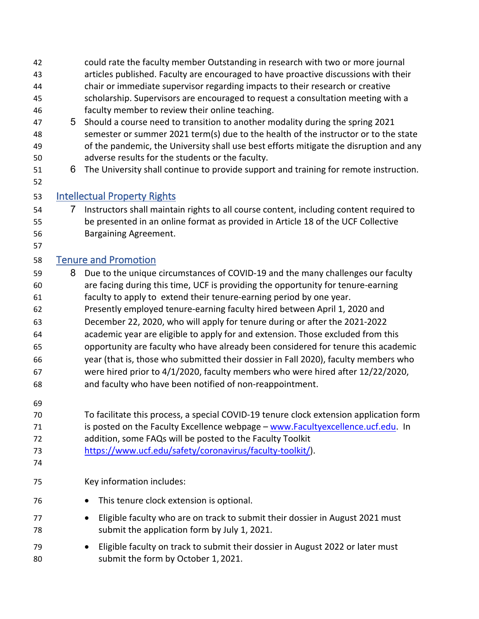articles published. Faculty are encouraged to have proactive discussions with their chair or immediate supervisor regarding impacts to their research or creative scholarship. Supervisors are encouraged to request a consultation meeting with a faculty member to review their online teaching. 5 Should a course need to transition to another modality during the spring 2021 semester or summer 2021 term(s) due to the health of the instructor or to the state of the pandemic, the University shall use best efforts mitigate the disruption and any adverse results for the students or the faculty. 6 The University shall continue to provide support and training for remote instruction. Intellectual Property Rights 7 Instructors shall maintain rights to all course content, including content required to be presented in an online format as provided in Article 18 of the UCF Collective Bargaining Agreement. Tenure and Promotion 8 Due to the unique circumstances of COVID-19 and the many challenges our faculty are facing during this time, UCF is providing the opportunity for tenure-earning faculty to apply to extend their tenure-earning period by one year. Presently employed tenure-earning faculty hired between April 1, 2020 and December 22, 2020, who will apply for tenure during or after the 2021-2022 academic year are eligible to apply for and extension. Those excluded from this opportunity are faculty who have already been considered for tenure this academic year (that is, those who submitted their dossier in Fall 2020), faculty members who were hired prior to 4/1/2020, faculty members who were hired after 12/22/2020, and faculty who have been notified of non-reappointment. To facilitate this process, a special COVID-19 tenure clock extension application form 71 is posted on the Faculty Excellence webpage – [www.Facultyexcellence.ucf.edu.](https://nam02.safelinks.protection.outlook.com/?url=http%3A%2F%2Fwww.facultyexcellence.ucf.edu%2F&data=02%7C01%7CJana.Jasinski%40ucf.edu%7C38940d9403004d4a6ca008d7d2887ad7%7Cbb932f15ef3842ba91fcf3c59d5dd1f1%7C0%7C0%7C637209355919800494&sdata=4PgPGCB%2F3IGeAmwOON3yuvjFEP%2Fflsvp6gJdBpG7Bu0%3D&reserved=0) In addition, some FAQs will be posted to the Faculty Toolkit [https://www.ucf.edu/safety/coronavirus/faculty-toolkit/\)](https://nam02.safelinks.protection.outlook.com/?url=https%3A%2F%2Fwww.ucf.edu%2Fsafety%2Fcoronavirus%2Ffaculty-toolkit%2F&data=02%7C01%7CJana.Jasinski%40ucf.edu%7C38940d9403004d4a6ca008d7d2887ad7%7Cbb932f15ef3842ba91fcf3c59d5dd1f1%7C0%7C0%7C637209355919810485&sdata=qwrAs97vajvrVwwtayfCYD0EYmMa9xvmrGS2HbaR06w%3D&reserved=0). Key information includes: • This tenure clock extension is optional. • Eligible faculty who are on track to submit their dossier in August 2021 must submit the application form by July 1, 2021. • Eligible faculty on track to submit their dossier in August 2022 or later must submit the form by October 1, 2021.

could rate the faculty member Outstanding in research with two or more journal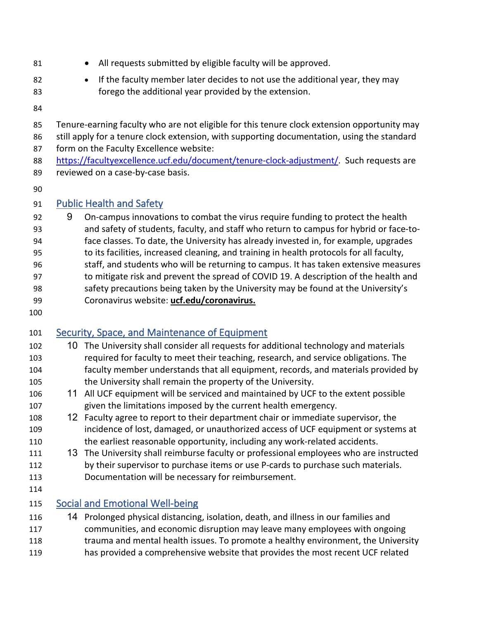- 
- 81 All requests submitted by eligible faculty will be approved.
- If the faculty member later decides to not use the additional year, they may forego the additional year provided by the extension.
- 

 Tenure-earning faculty who are not eligible for this tenure clock extension opportunity may still apply for a tenure clock extension, with supporting documentation, using the standard

form on the Faculty Excellence website:

- [https://facultyexcellence.ucf.edu/document/tenure-clock-adjustment/.](https://facultyexcellence.ucf.edu/document/tenure-clock-adjustment/) Such requests are reviewed on a case-by-case basis.
- 

#### Public Health and Safety

- 92 9 On-campus innovations to combat the virus require funding to protect the health and safety of students, faculty, and staff who return to campus for hybrid or face-to- face classes. To date, the University has already invested in, for example, upgrades to its facilities, increased cleaning, and training in health protocols for all faculty, staff, and students who will be returning to campus. It has taken extensive measures to mitigate risk and prevent the spread of COVID 19. A description of the health and safety precautions being taken by the University may be found at the University's Coronavirus website: **ucf.edu/coronavirus.**
- 

## Security, Space, and Maintenance of Equipment

- 10 The University shall consider all requests for additional technology and materials required for faculty to meet their teaching, research, and service obligations. The faculty member understands that all equipment, records, and materials provided by the University shall remain the property of the University.
- 11 All UCF equipment will be serviced and maintained by UCF to the extent possible given the limitations imposed by the current health emergency.
- 12 Faculty agree to report to their department chair or immediate supervisor, the incidence of lost, damaged, or unauthorized access of UCF equipment or systems at 110 the earliest reasonable opportunity, including any work-related accidents.
- 13 The University shall reimburse faculty or professional employees who are instructed by their supervisor to purchase items or use P-cards to purchase such materials. Documentation will be necessary for reimbursement.
- 

#### Social and Emotional Well-being

 14 Prolonged physical distancing, isolation, death, and illness in our families and communities, and economic disruption may leave many employees with ongoing trauma and mental health issues. To promote a healthy environment, the University has provided a comprehensive website that provides the most recent UCF related